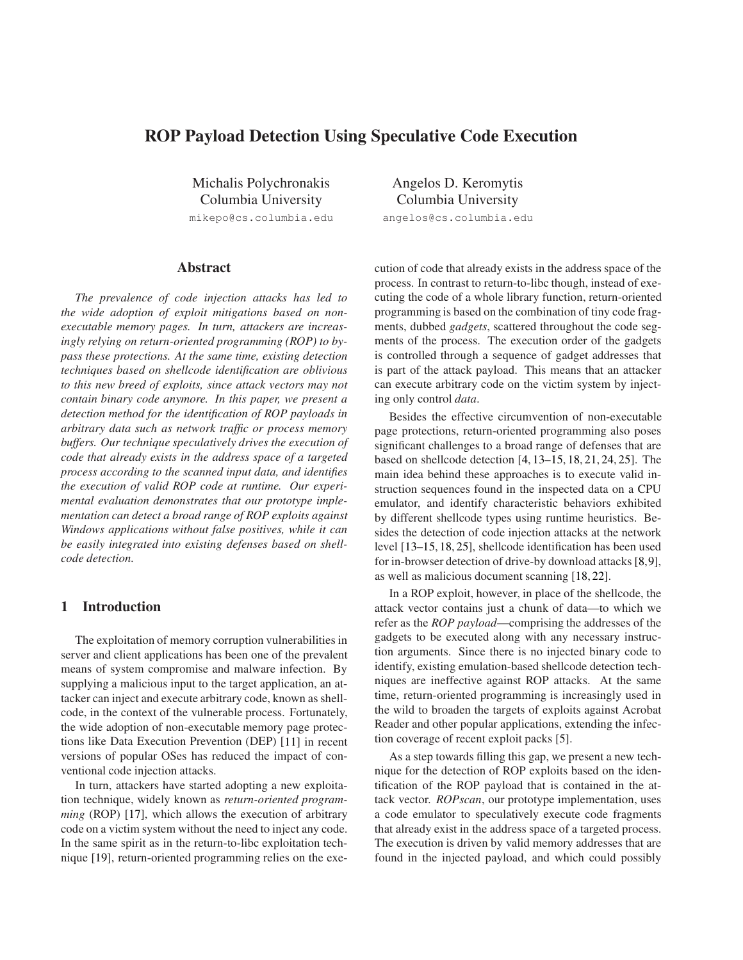# **ROP Payload Detection Using Speculative Code Execution**

Michalis Polychronakis Columbia University

mikepo@cs.columbia.edu

## **Abstract**

*The prevalence of code injection attacks has led to the wide adoption of exploit mitigations based on nonexecutable memory pages. In turn, attackers are increasingly relying on return-oriented programming (ROP) to bypass these protections. At the same time, existing detection techniques based on shellcode identification are oblivious to this new breed of exploits, since attack vectors may not contain binary code anymore. In this paper, we present a detection method for the identification of ROP payloads in arbitrary data such as network traffic or process memory buffers. Our technique speculatively drives the execution of code that already exists in the address space of a targeted process according to the scanned input data, and identifies the execution of valid ROP code at runtime. Our experimental evaluation demonstrates that our prototype implementation can detect a broad range of ROP exploits against Windows applications without false positives, while it can be easily integrated into existing defenses based on shellcode detection.*

## **1 Introduction**

The exploitation of memory corruption vulnerabilities in server and client applications has been one of the prevalent means of system compromise and malware infection. By supplying a malicious input to the target application, an attacker can inject and execute arbitrary code, known as shellcode, in the context of the vulnerable process. Fortunately, the wide adoption of non-executable memory page protections like Data Execution Prevention (DEP) [\[11\]](#page-7-0) in recent versions of popular OSes has reduced the impact of conventional code injection attacks.

In turn, attackers have started adopting a new exploitation technique, widely known as *return-oriented programming* (ROP) [\[17\]](#page-7-1), which allows the execution of arbitrary code on a victim system without the need to inject any code. In the same spirit as in the return-to-libc exploitation technique [\[19\]](#page-7-2), return-oriented programming relies on the exe-

Angelos D. Keromytis Columbia University angelos@cs.columbia.edu

cution of code that already exists in the address space of the process. In contrast to return-to-libc though, instead of executing the code of a whole library function, return-oriented programming is based on the combination of tiny code fragments, dubbed *gadgets*, scattered throughout the code segments of the process. The execution order of the gadgets is controlled through a sequence of gadget addresses that is part of the attack payload. This means that an attacker can execute arbitrary code on the victim system by injecting only control *data*.

Besides the effective circumvention of non-executable page protections, return-oriented programming also poses significant challenges to a broad range of defenses that are based on shellcode detection [\[4,](#page-7-3) [13](#page-7-4)[–15,](#page-7-5) [18,](#page-7-6) [21,](#page-7-7) [24,](#page-7-8) [25\]](#page-7-9). The main idea behind these approaches is to execute valid instruction sequences found in the inspected data on a CPU emulator, and identify characteristic behaviors exhibited by different shellcode types using runtime heuristics. Besides the detection of code injection attacks at the network level [\[13–](#page-7-4)[15,](#page-7-5) [18,](#page-7-6) [25\]](#page-7-9), shellcode identification has been used for in-browser detection of drive-by download attacks [\[8,](#page-7-10)[9\]](#page-7-11), as well as malicious document scanning [\[18,](#page-7-6) [22\]](#page-7-12).

In a ROP exploit, however, in place of the shellcode, the attack vector contains just a chunk of data—to which we refer as the *ROP payload*—comprising the addresses of the gadgets to be executed along with any necessary instruction arguments. Since there is no injected binary code to identify, existing emulation-based shellcode detection techniques are ineffective against ROP attacks. At the same time, return-oriented programming is increasingly used in the wild to broaden the targets of exploits against Acrobat Reader and other popular applications, extending the infection coverage of recent exploit packs [\[5\]](#page-7-13).

As a step towards filling this gap, we present a new technique for the detection of ROP exploits based on the identification of the ROP payload that is contained in the attack vector. *ROPscan*, our prototype implementation, uses a code emulator to speculatively execute code fragments that already exist in the address space of a targeted process. The execution is driven by valid memory addresses that are found in the injected payload, and which could possibly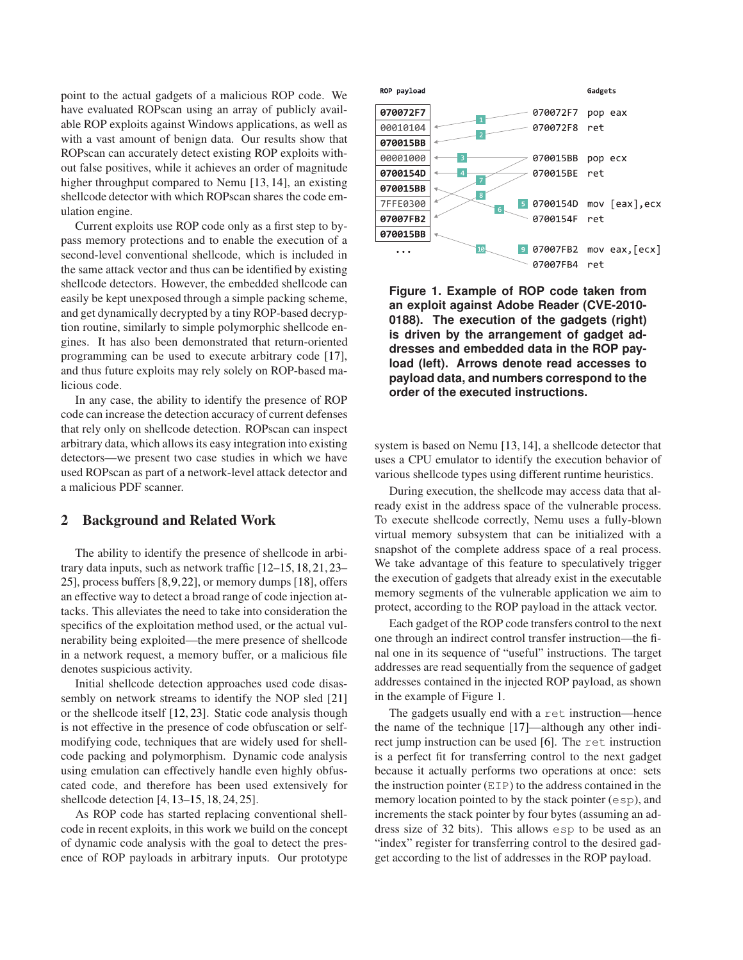point to the actual gadgets of a malicious ROP code. We have evaluated ROPscan using an array of publicly available ROP exploits against Windows applications, as well as with a vast amount of benign data. Our results show that ROPscan can accurately detect existing ROP exploits without false positives, while it achieves an order of magnitude higher throughput compared to Nemu [\[13,](#page-7-4) [14\]](#page-7-14), an existing shellcode detector with which ROPscan shares the code emulation engine.

Current exploits use ROP code only as a first step to bypass memory protections and to enable the execution of a second-level conventional shellcode, which is included in the same attack vector and thus can be identified by existing shellcode detectors. However, the embedded shellcode can easily be kept unexposed through a simple packing scheme, and get dynamically decrypted by a tiny ROP-based decryption routine, similarly to simple polymorphic shellcode engines. It has also been demonstrated that return-oriented programming can be used to execute arbitrary code [\[17\]](#page-7-1), and thus future exploits may rely solely on ROP-based malicious code.

In any case, the ability to identify the presence of ROP code can increase the detection accuracy of current defenses that rely only on shellcode detection. ROPscan can inspect arbitrary data, which allows its easy integration into existing detectors—we present two case studies in which we have used ROPscan as part of a network-level attack detector and a malicious PDF scanner.

## <span id="page-1-1"></span>**2 Background and Related Work**

The ability to identify the presence of shellcode in arbitrary data inputs, such as network traffic [\[12](#page-7-15)[–15,](#page-7-5)[18,](#page-7-6)[21,](#page-7-7)[23–](#page-7-16) [25\]](#page-7-9), process buffers [\[8,](#page-7-10)[9,](#page-7-11)[22\]](#page-7-12), or memory dumps [\[18\]](#page-7-6), offers an effective way to detect a broad range of code injection attacks. This alleviates the need to take into consideration the specifics of the exploitation method used, or the actual vulnerability being exploited—the mere presence of shellcode in a network request, a memory buffer, or a malicious file denotes suspicious activity.

Initial shellcode detection approaches used code disassembly on network streams to identify the NOP sled [\[21\]](#page-7-7) or the shellcode itself [\[12,](#page-7-15) [23\]](#page-7-16). Static code analysis though is not effective in the presence of code obfuscation or selfmodifying code, techniques that are widely used for shellcode packing and polymorphism. Dynamic code analysis using emulation can effectively handle even highly obfuscated code, and therefore has been used extensively for shellcode detection [\[4,](#page-7-3) [13](#page-7-4)[–15,](#page-7-5) [18,](#page-7-6) [24,](#page-7-8) [25\]](#page-7-9).

As ROP code has started replacing conventional shellcode in recent exploits, in this work we build on the concept of dynamic code analysis with the goal to detect the presence of ROP payloads in arbitrary inputs. Our prototype



<span id="page-1-0"></span>**Figure 1. Example of ROP code taken from an exploit against Adobe Reader (CVE-2010- 0188). The execution of the gadgets (right) is driven by the arrangement of gadget addresses and embedded data in the ROP payload (left). Arrows denote read accesses to payload data, and numbers correspond to the order of the executed instructions.**

system is based on Nemu [\[13,](#page-7-4) [14\]](#page-7-14), a shellcode detector that uses a CPU emulator to identify the execution behavior of various shellcode types using different runtime heuristics.

During execution, the shellcode may access data that already exist in the address space of the vulnerable process. To execute shellcode correctly, Nemu uses a fully-blown virtual memory subsystem that can be initialized with a snapshot of the complete address space of a real process. We take advantage of this feature to speculatively trigger the execution of gadgets that already exist in the executable memory segments of the vulnerable application we aim to protect, according to the ROP payload in the attack vector.

Each gadget of the ROP code transfers control to the next one through an indirect control transfer instruction—the final one in its sequence of "useful" instructions. The target addresses are read sequentially from the sequence of gadget addresses contained in the injected ROP payload, as shown in the example of Figure [1.](#page-1-0)

The gadgets usually end with a ret instruction—hence the name of the technique [\[17\]](#page-7-1)—although any other indirect jump instruction can be used [\[6\]](#page-7-17). The ret instruction is a perfect fit for transferring control to the next gadget because it actually performs two operations at once: sets the instruction pointer (EIP) to the address contained in the memory location pointed to by the stack pointer (esp), and increments the stack pointer by four bytes (assuming an address size of 32 bits). This allows esp to be used as an "index" register for transferring control to the desired gadget according to the list of addresses in the ROP payload.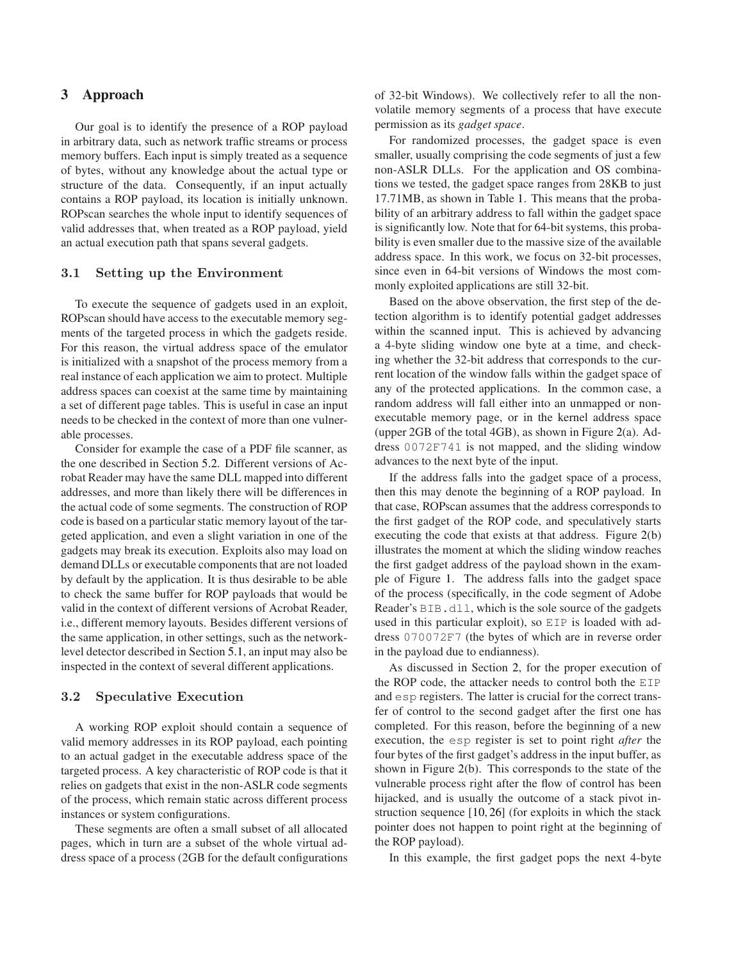## **3 Approach**

Our goal is to identify the presence of a ROP payload in arbitrary data, such as network traffic streams or process memory buffers. Each input is simply treated as a sequence of bytes, without any knowledge about the actual type or structure of the data. Consequently, if an input actually contains a ROP payload, its location is initially unknown. ROPscan searches the whole input to identify sequences of valid addresses that, when treated as a ROP payload, yield an actual execution path that spans several gadgets.

## 3.1 Setting up the Environment

To execute the sequence of gadgets used in an exploit, ROPscan should have access to the executable memory segments of the targeted process in which the gadgets reside. For this reason, the virtual address space of the emulator is initialized with a snapshot of the process memory from a real instance of each application we aim to protect. Multiple address spaces can coexist at the same time by maintaining a set of different page tables. This is useful in case an input needs to be checked in the context of more than one vulnerable processes.

Consider for example the case of a PDF file scanner, as the one described in Section [5.2.](#page-6-0) Different versions of Acrobat Reader may have the same DLL mapped into different addresses, and more than likely there will be differences in the actual code of some segments. The construction of ROP code is based on a particular static memory layout of the targeted application, and even a slight variation in one of the gadgets may break its execution. Exploits also may load on demand DLLs or executable components that are not loaded by default by the application. It is thus desirable to be able to check the same buffer for ROP payloads that would be valid in the context of different versions of Acrobat Reader, i.e., different memory layouts. Besides different versions of the same application, in other settings, such as the networklevel detector described in Section [5.1,](#page-6-1) an input may also be inspected in the context of several different applications.

### <span id="page-2-0"></span>3.2 Speculative Execution

A working ROP exploit should contain a sequence of valid memory addresses in its ROP payload, each pointing to an actual gadget in the executable address space of the targeted process. A key characteristic of ROP code is that it relies on gadgets that exist in the non-ASLR code segments of the process, which remain static across different process instances or system configurations.

These segments are often a small subset of all allocated pages, which in turn are a subset of the whole virtual address space of a process (2GB for the default configurations of 32-bit Windows). We collectively refer to all the nonvolatile memory segments of a process that have execute permission as its *gadget space*.

For randomized processes, the gadget space is even smaller, usually comprising the code segments of just a few non-ASLR DLLs. For the application and OS combinations we tested, the gadget space ranges from 28KB to just 17.71MB, as shown in Table [1.](#page-6-2) This means that the probability of an arbitrary address to fall within the gadget space is significantly low. Note that for 64-bit systems, this probability is even smaller due to the massive size of the available address space. In this work, we focus on 32-bit processes, since even in 64-bit versions of Windows the most commonly exploited applications are still 32-bit.

Based on the above observation, the first step of the detection algorithm is to identify potential gadget addresses within the scanned input. This is achieved by advancing a 4-byte sliding window one byte at a time, and checking whether the 32-bit address that corresponds to the current location of the window falls within the gadget space of any of the protected applications. In the common case, a random address will fall either into an unmapped or nonexecutable memory page, or in the kernel address space (upper 2GB of the total 4GB), as shown in Figure [2\(](#page-3-0)a). Address 0072F741 is not mapped, and the sliding window advances to the next byte of the input.

If the address falls into the gadget space of a process, then this may denote the beginning of a ROP payload. In that case, ROPscan assumes that the address corresponds to the first gadget of the ROP code, and speculatively starts executing the code that exists at that address. Figure [2\(](#page-3-0)b) illustrates the moment at which the sliding window reaches the first gadget address of the payload shown in the example of Figure [1.](#page-1-0) The address falls into the gadget space of the process (specifically, in the code segment of Adobe Reader's BIB.dll, which is the sole source of the gadgets used in this particular exploit), so EIP is loaded with address 070072F7 (the bytes of which are in reverse order in the payload due to endianness).

As discussed in Section [2,](#page-1-1) for the proper execution of the ROP code, the attacker needs to control both the EIP and esp registers. The latter is crucial for the correct transfer of control to the second gadget after the first one has completed. For this reason, before the beginning of a new execution, the esp register is set to point right *after* the four bytes of the first gadget's address in the input buffer, as shown in Figure [2\(](#page-3-0)b). This corresponds to the state of the vulnerable process right after the flow of control has been hijacked, and is usually the outcome of a stack pivot instruction sequence [\[10,](#page-7-18) [26\]](#page-7-19) (for exploits in which the stack pointer does not happen to point right at the beginning of the ROP payload).

In this example, the first gadget pops the next 4-byte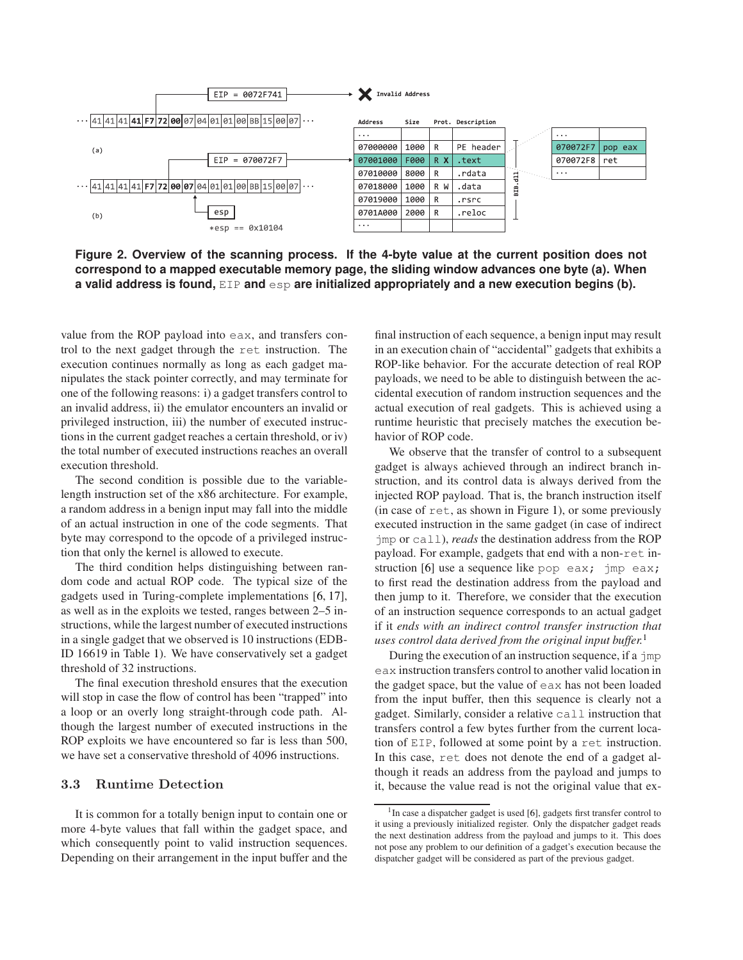

<span id="page-3-0"></span>**Figure 2. Overview of the scanning process. If the 4-byte value at the current position does not correspond to a mapped executable memory page, the sliding window advances one byte (a). When a valid address is found,** EIP **and** esp **are initialized appropriately and a new execution begins (b).**

value from the ROP payload into eax, and transfers control to the next gadget through the ret instruction. The execution continues normally as long as each gadget manipulates the stack pointer correctly, and may terminate for one of the following reasons: i) a gadget transfers control to an invalid address, ii) the emulator encounters an invalid or privileged instruction, iii) the number of executed instructions in the current gadget reaches a certain threshold, or iv) the total number of executed instructions reaches an overall execution threshold.

The second condition is possible due to the variablelength instruction set of the x86 architecture. For example, a random address in a benign input may fall into the middle of an actual instruction in one of the code segments. That byte may correspond to the opcode of a privileged instruction that only the kernel is allowed to execute.

The third condition helps distinguishing between random code and actual ROP code. The typical size of the gadgets used in Turing-complete implementations [\[6,](#page-7-17) [17\]](#page-7-1), as well as in the exploits we tested, ranges between 2–5 instructions, while the largest number of executed instructions in a single gadget that we observed is 10 instructions (EDB-ID 16619 in Table [1\)](#page-6-2). We have conservatively set a gadget threshold of 32 instructions.

The final execution threshold ensures that the execution will stop in case the flow of control has been "trapped" into a loop or an overly long straight-through code path. Although the largest number of executed instructions in the ROP exploits we have encountered so far is less than 500, we have set a conservative threshold of 4096 instructions.

## 3.3 Runtime Detection

It is common for a totally benign input to contain one or more 4-byte values that fall within the gadget space, and which consequently point to valid instruction sequences. Depending on their arrangement in the input buffer and the

final instruction of each sequence, a benign input may result in an execution chain of "accidental" gadgets that exhibits a ROP-like behavior. For the accurate detection of real ROP payloads, we need to be able to distinguish between the accidental execution of random instruction sequences and the actual execution of real gadgets. This is achieved using a runtime heuristic that precisely matches the execution behavior of ROP code.

We observe that the transfer of control to a subsequent gadget is always achieved through an indirect branch instruction, and its control data is always derived from the injected ROP payload. That is, the branch instruction itself (in case of ret, as shown in Figure [1\)](#page-1-0), or some previously executed instruction in the same gadget (in case of indirect jmp or call), *reads* the destination address from the ROP payload. For example, gadgets that end with a non-ret in-struction [\[6\]](#page-7-17) use a sequence like pop eax;  $\gamma$  imp eax; to first read the destination address from the payload and then jump to it. Therefore, we consider that the execution of an instruction sequence corresponds to an actual gadget if it *ends with an indirect control transfer instruction that uses control data derived from the original input buffer.*[1](#page-3-1)

During the execution of an instruction sequence, if a  $\pm$ mp eax instruction transfers control to another valid location in the gadget space, but the value of eax has not been loaded from the input buffer, then this sequence is clearly not a gadget. Similarly, consider a relative call instruction that transfers control a few bytes further from the current location of EIP, followed at some point by a ret instruction. In this case, ret does not denote the end of a gadget although it reads an address from the payload and jumps to it, because the value read is not the original value that ex-

<span id="page-3-1"></span><sup>&</sup>lt;sup>1</sup>In case a dispatcher gadget is used [\[6\]](#page-7-17), gadgets first transfer control to it using a previously initialized register. Only the dispatcher gadget reads the next destination address from the payload and jumps to it. This does not pose any problem to our definition of a gadget's execution because the dispatcher gadget will be considered as part of the previous gadget.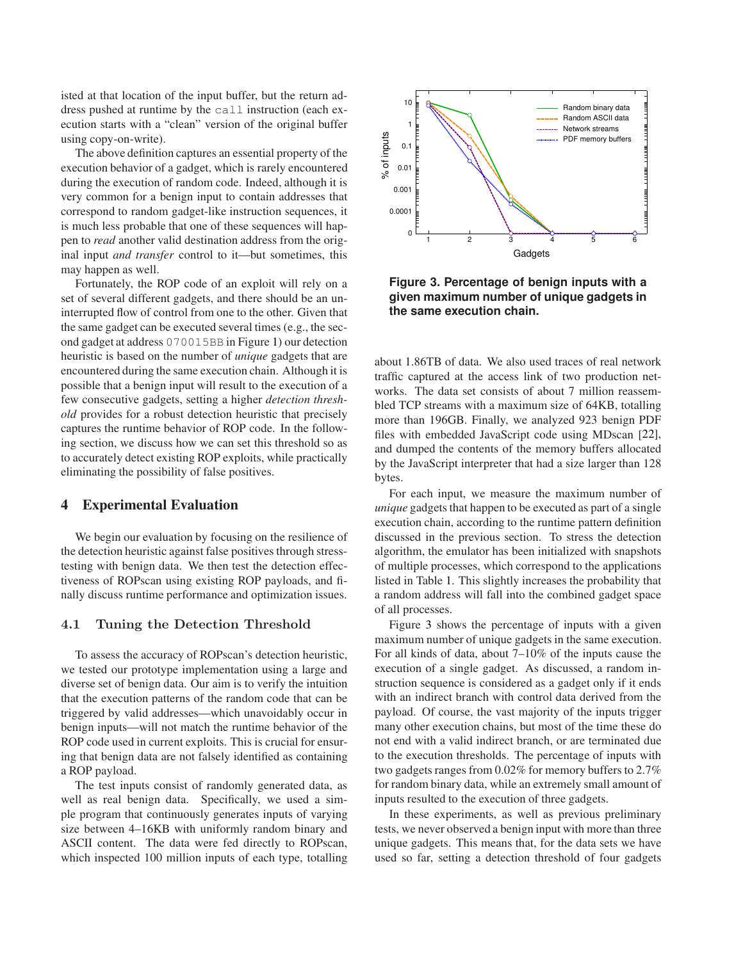isted at that location of the input buffer, but the return address pushed at runtime by the call instruction (each execution starts with a "clean" version of the original buffer using copy-on-write).

The above definition captures an essential property of the execution behavior of a gadget, which is rarely encountered during the execution of random code. Indeed, although it is very common for a benign input to contain addresses that correspond to random gadget-like instruction sequences, it is much less probable that one of these sequences will happen to *read* another valid destination address from the original input *and transfer* control to it—but sometimes, this may happen as well.

Fortunately, the ROP code of an exploit will rely on a set of several different gadgets, and there should be an uninterrupted flow of control from one to the other. Given that the same gadget can be executed several times (e.g., the second gadget at address 070015BB in Figure [1\)](#page-1-0) our detection heuristic is based on the number of *unique* gadgets that are encountered during the same execution chain. Although it is possible that a benign input will result to the execution of a few consecutive gadgets, setting a higher *detection threshold* provides for a robust detection heuristic that precisely captures the runtime behavior of ROP code. In the following section, we discuss how we can set this threshold so as to accurately detect existing ROP exploits, while practically eliminating the possibility of false positives.

### **4 Experimental Evaluation**

We begin our evaluation by focusing on the resilience of the detection heuristic against false positives through stresstesting with benign data. We then test the detection effectiveness of ROPscan using existing ROP payloads, and finally discuss runtime performance and optimization issues.

#### <span id="page-4-1"></span>4.1 Tuning the Detection Threshold

To assess the accuracy of ROPscan's detection heuristic, we tested our prototype implementation using a large and diverse set of benign data. Our aim is to verify the intuition that the execution patterns of the random code that can be triggered by valid addresses—which unavoidably occur in benign inputs—will not match the runtime behavior of the ROP code used in current exploits. This is crucial for ensuring that benign data are not falsely identified as containing a ROP payload.

The test inputs consist of randomly generated data, as well as real benign data. Specifically, we used a simple program that continuously generates inputs of varying size between 4–16KB with uniformly random binary and ASCII content. The data were fed directly to ROPscan, which inspected 100 million inputs of each type, totalling



<span id="page-4-0"></span>**Figure 3. Percentage of benign inputs with a given maximum number of unique gadgets in the same execution chain.**

about 1.86TB of data. We also used traces of real network traffic captured at the access link of two production networks. The data set consists of about 7 million reassembled TCP streams with a maximum size of 64KB, totalling more than 196GB. Finally, we analyzed 923 benign PDF files with embedded JavaScript code using MDscan [\[22\]](#page-7-12), and dumped the contents of the memory buffers allocated by the JavaScript interpreter that had a size larger than 128 bytes.

For each input, we measure the maximum number of *unique* gadgets that happen to be executed as part of a single execution chain, according to the runtime pattern definition discussed in the previous section. To stress the detection algorithm, the emulator has been initialized with snapshots of multiple processes, which correspond to the applications listed in Table [1.](#page-6-2) This slightly increases the probability that a random address will fall into the combined gadget space of all processes.

Figure [3](#page-4-0) shows the percentage of inputs with a given maximum number of unique gadgets in the same execution. For all kinds of data, about 7–10% of the inputs cause the execution of a single gadget. As discussed, a random instruction sequence is considered as a gadget only if it ends with an indirect branch with control data derived from the payload. Of course, the vast majority of the inputs trigger many other execution chains, but most of the time these do not end with a valid indirect branch, or are terminated due to the execution thresholds. The percentage of inputs with two gadgets ranges from 0.02% for memory buffers to 2.7% for random binary data, while an extremely small amount of inputs resulted to the execution of three gadgets.

In these experiments, as well as previous preliminary tests, we never observed a benign input with more than three unique gadgets. This means that, for the data sets we have used so far, setting a detection threshold of four gadgets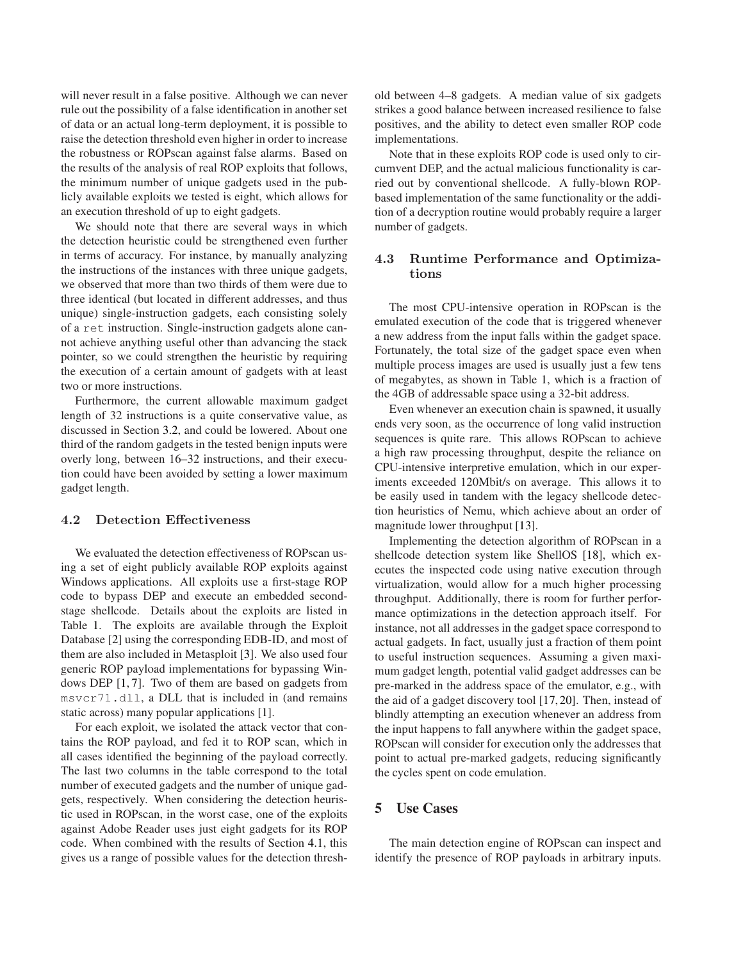will never result in a false positive. Although we can never rule out the possibility of a false identification in another set of data or an actual long-term deployment, it is possible to raise the detection threshold even higher in order to increase the robustness or ROPscan against false alarms. Based on the results of the analysis of real ROP exploits that follows, the minimum number of unique gadgets used in the publicly available exploits we tested is eight, which allows for an execution threshold of up to eight gadgets.

We should note that there are several ways in which the detection heuristic could be strengthened even further in terms of accuracy. For instance, by manually analyzing the instructions of the instances with three unique gadgets, we observed that more than two thirds of them were due to three identical (but located in different addresses, and thus unique) single-instruction gadgets, each consisting solely of a ret instruction. Single-instruction gadgets alone cannot achieve anything useful other than advancing the stack pointer, so we could strengthen the heuristic by requiring the execution of a certain amount of gadgets with at least two or more instructions.

Furthermore, the current allowable maximum gadget length of 32 instructions is a quite conservative value, as discussed in Section [3.2,](#page-2-0) and could be lowered. About one third of the random gadgets in the tested benign inputs were overly long, between 16–32 instructions, and their execution could have been avoided by setting a lower maximum gadget length.

### 4.2 Detection Effectiveness

We evaluated the detection effectiveness of ROPscan using a set of eight publicly available ROP exploits against Windows applications. All exploits use a first-stage ROP code to bypass DEP and execute an embedded secondstage shellcode. Details about the exploits are listed in Table [1.](#page-6-2) The exploits are available through the Exploit Database [\[2\]](#page-7-20) using the corresponding EDB-ID, and most of them are also included in Metasploit [\[3\]](#page-7-21). We also used four generic ROP payload implementations for bypassing Windows DEP [\[1,](#page-7-22) [7\]](#page-7-23). Two of them are based on gadgets from msvcr71.dll, a DLL that is included in (and remains static across) many popular applications [\[1\]](#page-7-22).

For each exploit, we isolated the attack vector that contains the ROP payload, and fed it to ROP scan, which in all cases identified the beginning of the payload correctly. The last two columns in the table correspond to the total number of executed gadgets and the number of unique gadgets, respectively. When considering the detection heuristic used in ROPscan, in the worst case, one of the exploits against Adobe Reader uses just eight gadgets for its ROP code. When combined with the results of Section [4.1,](#page-4-1) this gives us a range of possible values for the detection threshold between 4–8 gadgets. A median value of six gadgets strikes a good balance between increased resilience to false positives, and the ability to detect even smaller ROP code implementations.

Note that in these exploits ROP code is used only to circumvent DEP, and the actual malicious functionality is carried out by conventional shellcode. A fully-blown ROPbased implementation of the same functionality or the addition of a decryption routine would probably require a larger number of gadgets.

## 4.3 Runtime Performance and Optimizations

The most CPU-intensive operation in ROPscan is the emulated execution of the code that is triggered whenever a new address from the input falls within the gadget space. Fortunately, the total size of the gadget space even when multiple process images are used is usually just a few tens of megabytes, as shown in Table [1,](#page-6-2) which is a fraction of the 4GB of addressable space using a 32-bit address.

Even whenever an execution chain is spawned, it usually ends very soon, as the occurrence of long valid instruction sequences is quite rare. This allows ROPscan to achieve a high raw processing throughput, despite the reliance on CPU-intensive interpretive emulation, which in our experiments exceeded 120Mbit/s on average. This allows it to be easily used in tandem with the legacy shellcode detection heuristics of Nemu, which achieve about an order of magnitude lower throughput [\[13\]](#page-7-4).

Implementing the detection algorithm of ROPscan in a shellcode detection system like ShellOS [\[18\]](#page-7-6), which executes the inspected code using native execution through virtualization, would allow for a much higher processing throughput. Additionally, there is room for further performance optimizations in the detection approach itself. For instance, not all addresses in the gadget space correspond to actual gadgets. In fact, usually just a fraction of them point to useful instruction sequences. Assuming a given maximum gadget length, potential valid gadget addresses can be pre-marked in the address space of the emulator, e.g., with the aid of a gadget discovery tool [\[17,](#page-7-1) [20\]](#page-7-24). Then, instead of blindly attempting an execution whenever an address from the input happens to fall anywhere within the gadget space, ROPscan will consider for execution only the addresses that point to actual pre-marked gadgets, reducing significantly the cycles spent on code emulation.

### **5 Use Cases**

The main detection engine of ROPscan can inspect and identify the presence of ROP payloads in arbitrary inputs.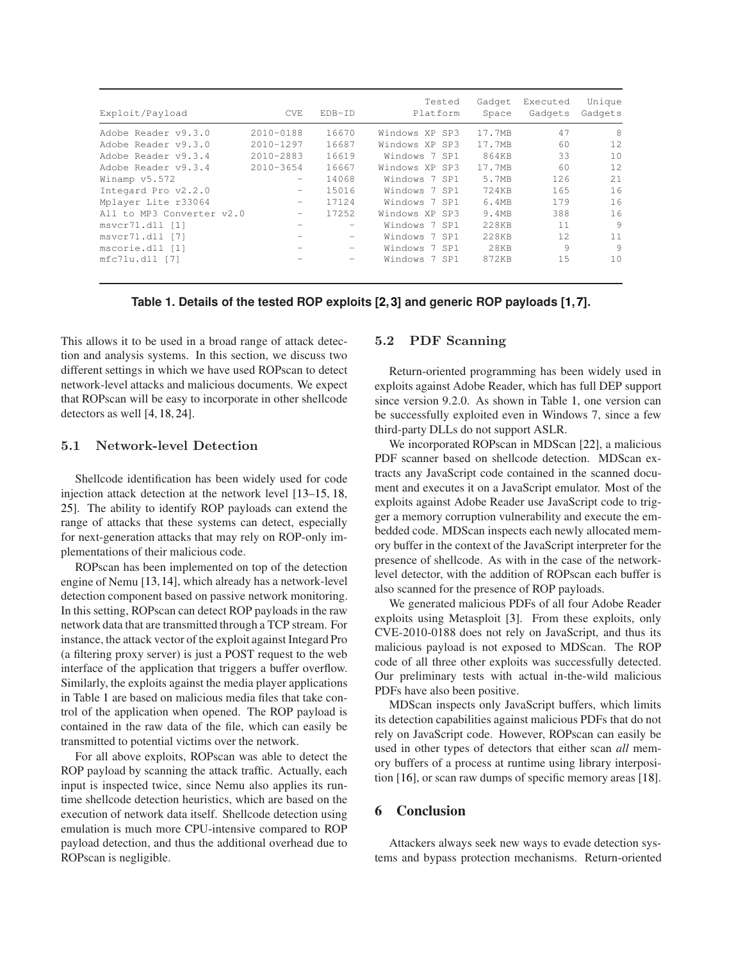| Exploit/Payload           | <b>CVE</b>               | EDB-ID                                | Tested<br>Platform | Gadget<br>Space | Executed<br>Gadgets | Unique<br>Gadgets |
|---------------------------|--------------------------|---------------------------------------|--------------------|-----------------|---------------------|-------------------|
| Adobe Reader v9.3.0       | 2010-0188                | 16670                                 | Windows XP SP3     | 17.7MB          | 47                  | 8                 |
| Adobe Reader v9.3.0       | 2010-1297                | 16687                                 | Windows XP SP3     | 17.7MB          | 60                  | 12                |
| Adobe Reader v9.3.4       | 2010-2883                | 16619                                 | Windows 7 SP1      | 864KB           | 33                  | 10                |
| Adobe Reader v9.3.4       | $2010 - 3654$            | 16667                                 | Windows XP SP3     | 17.7MB          | 60                  | 12                |
| Winamp v5.572             | $\qquad \qquad$          | 14068                                 | Windows 7 SP1      | 5.7MB           | 126                 | 21                |
| Integard Pro v2.2.0       | $\overline{\phantom{a}}$ | 15016                                 | Windows 7 SP1      | 72.4KB          | 165                 | 16                |
| Mplayer Lite r33064       | $\qquad \qquad -$        | 17124                                 | Windows 7 SP1      | 6.4MB           | 179                 | 16                |
| All to MP3 Converter v2.0 | $\overline{\phantom{m}}$ | 17252                                 | Windows XP SP3     | 9.4MB           | 388                 | 16                |
| $msvcr71$ .dll $[1]$      |                          | $\hspace{1.0cm} \rule{1.5cm}{0.15cm}$ | Windows 7 SP1      | 228KB           | 11                  | 9                 |
| msvcr71. d11 [7]          |                          | -                                     | Windows 7 SP1      | 228KB           | 12.                 | 11                |
| mscorie.dll [1]           |                          | $\overline{\phantom{a}}$              | Windows 7 SP1      | 28KB            | 9                   | 9                 |
| mfc71u.d11 [7]            |                          | $\hspace{1.0cm} \rule{1.5cm}{0.15cm}$ | Windows 7 SP1      | 872KB           | 15                  | 10                |

<span id="page-6-2"></span>**Table 1. Details of the tested ROP exploits [\[2,](#page-7-20)[3\]](#page-7-21) and generic ROP payloads [\[1,](#page-7-22)[7\]](#page-7-23).**

This allows it to be used in a broad range of attack detection and analysis systems. In this section, we discuss two different settings in which we have used ROPscan to detect network-level attacks and malicious documents. We expect that ROPscan will be easy to incorporate in other shellcode detectors as well [\[4,](#page-7-3) [18,](#page-7-6) [24\]](#page-7-8).

## <span id="page-6-1"></span>5.1 Network-level Detection

Shellcode identification has been widely used for code injection attack detection at the network level [\[13](#page-7-4)[–15,](#page-7-5) [18,](#page-7-6) [25\]](#page-7-9). The ability to identify ROP payloads can extend the range of attacks that these systems can detect, especially for next-generation attacks that may rely on ROP-only implementations of their malicious code.

ROPscan has been implemented on top of the detection engine of Nemu [\[13,](#page-7-4)[14\]](#page-7-14), which already has a network-level detection component based on passive network monitoring. In this setting, ROPscan can detect ROP payloads in the raw network data that are transmitted through a TCP stream. For instance, the attack vector of the exploit against Integard Pro (a filtering proxy server) is just a POST request to the web interface of the application that triggers a buffer overflow. Similarly, the exploits against the media player applications in Table [1](#page-6-2) are based on malicious media files that take control of the application when opened. The ROP payload is contained in the raw data of the file, which can easily be transmitted to potential victims over the network.

For all above exploits, ROPscan was able to detect the ROP payload by scanning the attack traffic. Actually, each input is inspected twice, since Nemu also applies its runtime shellcode detection heuristics, which are based on the execution of network data itself. Shellcode detection using emulation is much more CPU-intensive compared to ROP payload detection, and thus the additional overhead due to ROPscan is negligible.

#### <span id="page-6-0"></span>5.2 PDF Scanning

Return-oriented programming has been widely used in exploits against Adobe Reader, which has full DEP support since version 9.2.0. As shown in Table [1,](#page-6-2) one version can be successfully exploited even in Windows 7, since a few third-party DLLs do not support ASLR.

We incorporated ROPscan in MDScan [\[22\]](#page-7-12), a malicious PDF scanner based on shellcode detection. MDScan extracts any JavaScript code contained in the scanned document and executes it on a JavaScript emulator. Most of the exploits against Adobe Reader use JavaScript code to trigger a memory corruption vulnerability and execute the embedded code. MDScan inspects each newly allocated memory buffer in the context of the JavaScript interpreter for the presence of shellcode. As with in the case of the networklevel detector, with the addition of ROPscan each buffer is also scanned for the presence of ROP payloads.

We generated malicious PDFs of all four Adobe Reader exploits using Metasploit [\[3\]](#page-7-21). From these exploits, only CVE-2010-0188 does not rely on JavaScript, and thus its malicious payload is not exposed to MDScan. The ROP code of all three other exploits was successfully detected. Our preliminary tests with actual in-the-wild malicious PDFs have also been positive.

MDScan inspects only JavaScript buffers, which limits its detection capabilities against malicious PDFs that do not rely on JavaScript code. However, ROPscan can easily be used in other types of detectors that either scan *all* memory buffers of a process at runtime using library interposition [\[16\]](#page-7-25), or scan raw dumps of specific memory areas [\[18\]](#page-7-6).

## **6 Conclusion**

Attackers always seek new ways to evade detection systems and bypass protection mechanisms. Return-oriented